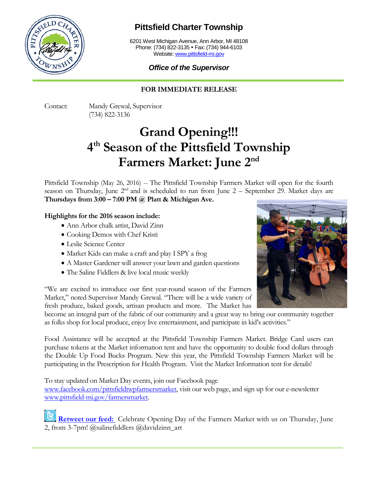

## **Pittsfield Charter Township**

6201 West Michigan Avenue, Ann Arbor, MI 48108 Phone: (734) 822-3135 • Fax: (734) 944-6103 Website: [www.pittsfield-mi.gov](http://www.pittsfield-mi.gov/)

### *Office of the Supervisor*

### **FOR IMMEDIATE RELEASE**

Contact: Mandy Grewal, Supervisor (734) 822-3136

# **Grand Opening!!! 4th Season of the Pittsfield Township Farmers Market: June 2nd**

Pittsfield Township (May 26, 2016) -- The Pittsfield Township Farmers Market will open for the fourth season on Thursday, June  $2<sup>nd</sup>$  and is scheduled to run from June  $2$  – September 29. Market days are **Thursdays from 3:00 – 7:00 PM @ Platt & Michigan Ave.** 

#### **Highlights for the 2016 season include:**

- Ann Arbor chalk artist, David Zinn
- Cooking Demos with Chef Kristi
- Leslie Science Center
- Market Kids can make a craft and play I SPY a frog
- A Master Gardener will answer your lawn and garden questions
- The Saline Fiddlers & live local music weekly

"We are excited to introduce our first year-round season of the Farmers Market," noted Supervisor Mandy Grewal. "There will be a wide variety of fresh produce, baked goods, artisan products and more. The Market has

become an integral part of the fabric of our community and a great way to bring our community together as folks shop for local produce, enjoy live entertainment, and participate in kid's activities."

Food Assistance will be accepted at the Pittsfield Township Farmers Market. Bridge Card users can purchase tokens at the Market information tent and have the opportunity to double food dollars through the Double Up Food Bucks Program. New this year, the Pittsfield Township Farmers Market will be participating in the Prescription for Health Program. Visit the Market Information tent for details!

To stay updated on Market Day events, join our Facebook page

[www.facebook.com/pittsfieldtwpfarmersmarket,](http://www.facebook.com/pittsfieldtwpfarmersmarket) visit our web page, and sign up for our e-newsletter [www.pittsfield-mi.gov/farmersmarket.](http://www.pittsfield-mi.gov/farmersmarket)

[Retweet our feed:](https://twitter.com/PittsfieldTwp) Celebrate Opening Day of the Farmers Market with us on Thursday, June 2, from 3-7pm! @salinefiddlers @davidzinn\_art